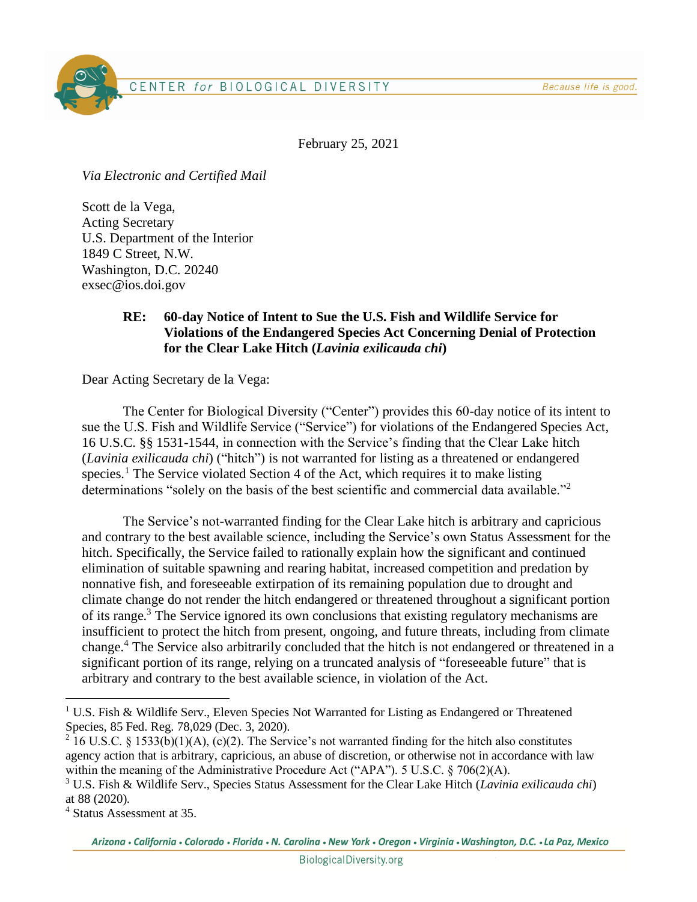Because life is good.



February 25, 2021

*Via Electronic and Certified Mail*

Scott de la Vega, Acting Secretary U.S. Department of the Interior 1849 C Street, N.W. Washington, D.C. 20240 exsec@ios.doi.gov

## **RE: 60-day Notice of Intent to Sue the U.S. Fish and Wildlife Service for Violations of the Endangered Species Act Concerning Denial of Protection for the Clear Lake Hitch (***Lavinia exilicauda chi***)**

Dear Acting Secretary de la Vega:

The Center for Biological Diversity ("Center") provides this 60-day notice of its intent to sue the U.S. Fish and Wildlife Service ("Service") for violations of the Endangered Species Act, 16 U.S.C. §§ 1531-1544, in connection with the Service's finding that the Clear Lake hitch (*Lavinia exilicauda chi*) ("hitch") is not warranted for listing as a threatened or endangered species.<sup>1</sup> The Service violated Section 4 of the Act, which requires it to make listing determinations "solely on the basis of the best scientific and commercial data available."<sup>2</sup>

The Service's not-warranted finding for the Clear Lake hitch is arbitrary and capricious and contrary to the best available science, including the Service's own Status Assessment for the hitch. Specifically, the Service failed to rationally explain how the significant and continued elimination of suitable spawning and rearing habitat, increased competition and predation by nonnative fish, and foreseeable extirpation of its remaining population due to drought and climate change do not render the hitch endangered or threatened throughout a significant portion of its range.<sup>3</sup> The Service ignored its own conclusions that existing regulatory mechanisms are insufficient to protect the hitch from present, ongoing, and future threats, including from climate change. <sup>4</sup> The Service also arbitrarily concluded that the hitch is not endangered or threatened in a significant portion of its range, relying on a truncated analysis of "foreseeable future" that is arbitrary and contrary to the best available science, in violation of the Act.

<sup>&</sup>lt;sup>1</sup> U.S. Fish & Wildlife Serv., Eleven Species Not Warranted for Listing as Endangered or Threatened Species, 85 Fed. Reg. 78,029 (Dec. 3, 2020).

<sup>&</sup>lt;sup>2</sup> 16 U.S.C. § 1533(b)(1)(A), (c)(2). The Service's not warranted finding for the hitch also constitutes agency action that is arbitrary, capricious, an abuse of discretion, or otherwise not in accordance with law within the meaning of the Administrative Procedure Act ("APA"). 5 U.S.C. § 706(2)(A).

<sup>3</sup> U.S. Fish & Wildlife Serv., Species Status Assessment for the Clear Lake Hitch (*Lavinia exilicauda chi*) at 88 (2020).

<sup>4</sup> Status Assessment at 35.

Arizona • California • Colorado • Florida • N. Carolina • New York • Oregon • Virginia • Washington, D.C. • La Paz, Mexico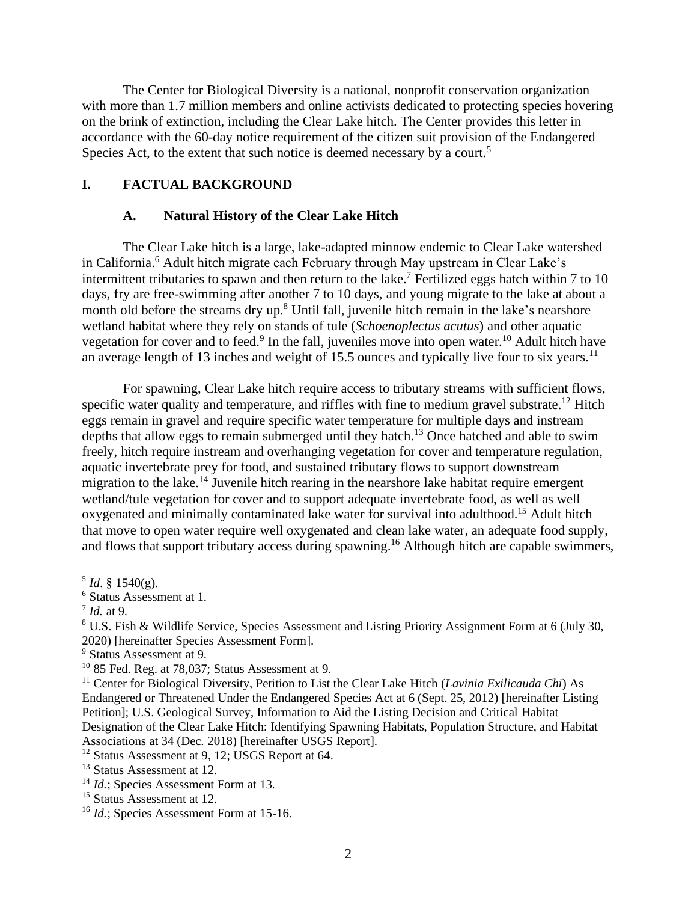The Center for Biological Diversity is a national, nonprofit conservation organization with more than 1.7 million members and online activists dedicated to protecting species hovering on the brink of extinction, including the Clear Lake hitch. The Center provides this letter in accordance with the 60-day notice requirement of the citizen suit provision of the Endangered Species Act, to the extent that such notice is deemed necessary by a court.<sup>5</sup>

### **I. FACTUAL BACKGROUND**

#### **A. Natural History of the Clear Lake Hitch**

The Clear Lake hitch is a large, lake-adapted minnow endemic to Clear Lake watershed in California.<sup>6</sup> Adult hitch migrate each February through May upstream in Clear Lake's intermittent tributaries to spawn and then return to the lake. <sup>7</sup> Fertilized eggs hatch within 7 to 10 days, fry are free-swimming after another 7 to 10 days, and young migrate to the lake at about a month old before the streams dry up.<sup>8</sup> Until fall, juvenile hitch remain in the lake's nearshore wetland habitat where they rely on stands of tule (*Schoenoplectus acutus*) and other aquatic vegetation for cover and to feed.<sup>9</sup> In the fall, juveniles move into open water.<sup>10</sup> Adult hitch have an average length of 13 inches and weight of 15.5 ounces and typically live four to six years.<sup>11</sup>

For spawning, Clear Lake hitch require access to tributary streams with sufficient flows, specific water quality and temperature, and riffles with fine to medium gravel substrate.<sup>12</sup> Hitch eggs remain in gravel and require specific water temperature for multiple days and instream depths that allow eggs to remain submerged until they hatch.<sup>13</sup> Once hatched and able to swim freely, hitch require instream and overhanging vegetation for cover and temperature regulation, aquatic invertebrate prey for food, and sustained tributary flows to support downstream migration to the lake.<sup>14</sup> Juvenile hitch rearing in the nearshore lake habitat require emergent wetland/tule vegetation for cover and to support adequate invertebrate food, as well as well oxygenated and minimally contaminated lake water for survival into adulthood.<sup>15</sup> Adult hitch that move to open water require well oxygenated and clean lake water, an adequate food supply, and flows that support tributary access during spawning.<sup>16</sup> Although hitch are capable swimmers,

 $^5$  *Id.* § 1540(g).

<sup>6</sup> Status Assessment at 1.

<sup>7</sup> *Id.* at 9.

<sup>&</sup>lt;sup>8</sup> U.S. Fish & Wildlife Service, Species Assessment and Listing Priority Assignment Form at 6 (July 30, 2020) [hereinafter Species Assessment Form].

 $^{9}$  Status Assessment at 9.

 $10$  85 Fed. Reg. at 78,037; Status Assessment at 9.

<sup>&</sup>lt;sup>11</sup> Center for Biological Diversity, Petition to List the Clear Lake Hitch (*Lavinia Exilicauda Chi*) As Endangered or Threatened Under the Endangered Species Act at 6 (Sept. 25, 2012) [hereinafter Listing Petition]; U.S. Geological Survey, Information to Aid the Listing Decision and Critical Habitat Designation of the Clear Lake Hitch: Identifying Spawning Habitats, Population Structure, and Habitat Associations at 34 (Dec. 2018) [hereinafter USGS Report].

<sup>&</sup>lt;sup>12</sup> Status Assessment at 9, 12; USGS Report at 64.

<sup>&</sup>lt;sup>13</sup> Status Assessment at 12.

<sup>&</sup>lt;sup>14</sup> *Id.*; Species Assessment Form at 13.

<sup>&</sup>lt;sup>15</sup> Status Assessment at 12.

<sup>&</sup>lt;sup>16</sup> *Id.*; Species Assessment Form at 15-16.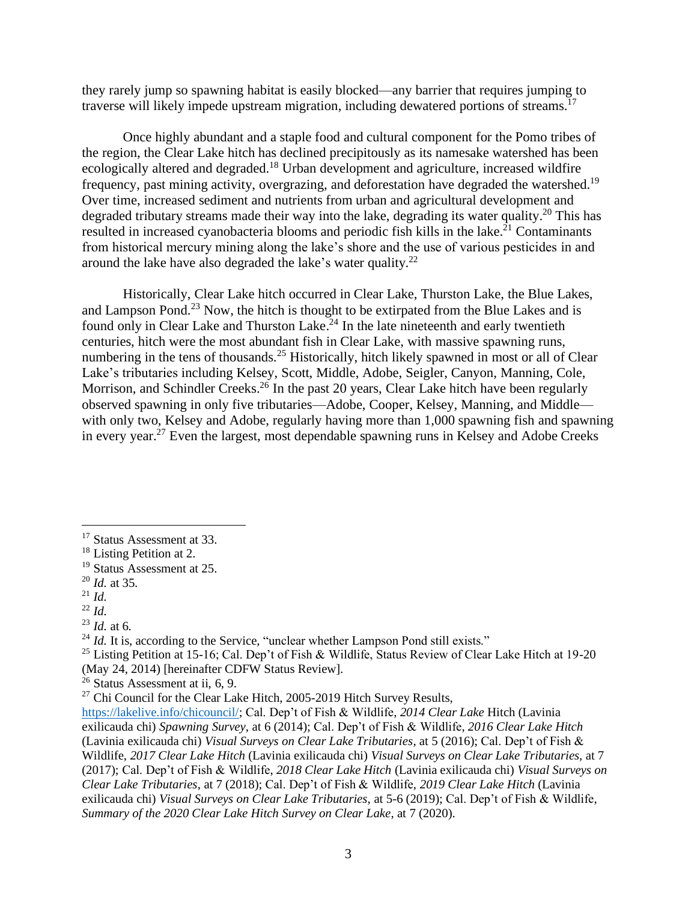they rarely jump so spawning habitat is easily blocked—any barrier that requires jumping to traverse will likely impede upstream migration, including dewatered portions of streams.<sup>17</sup>

Once highly abundant and a staple food and cultural component for the Pomo tribes of the region, the Clear Lake hitch has declined precipitously as its namesake watershed has been ecologically altered and degraded.<sup>18</sup> Urban development and agriculture, increased wildfire frequency, past mining activity, overgrazing, and deforestation have degraded the watershed.<sup>19</sup> Over time, increased sediment and nutrients from urban and agricultural development and degraded tributary streams made their way into the lake, degrading its water quality.<sup>20</sup> This has resulted in increased cyanobacteria blooms and periodic fish kills in the lake.<sup>21</sup> Contaminants from historical mercury mining along the lake's shore and the use of various pesticides in and around the lake have also degraded the lake's water quality.<sup>22</sup>

Historically, Clear Lake hitch occurred in Clear Lake, Thurston Lake, the Blue Lakes, and Lampson Pond.<sup>23</sup> Now, the hitch is thought to be extirpated from the Blue Lakes and is found only in Clear Lake and Thurston Lake.<sup>24</sup> In the late nineteenth and early twentieth centuries, hitch were the most abundant fish in Clear Lake, with massive spawning runs, numbering in the tens of thousands.<sup>25</sup> Historically, hitch likely spawned in most or all of Clear Lake's tributaries including Kelsey, Scott, Middle, Adobe, Seigler, Canyon, Manning, Cole, Morrison, and Schindler Creeks.<sup>26</sup> In the past 20 years, Clear Lake hitch have been regularly observed spawning in only five tributaries—Adobe, Cooper, Kelsey, Manning, and Middle with only two, Kelsey and Adobe, regularly having more than 1,000 spawning fish and spawning in every year.<sup>27</sup> Even the largest, most dependable spawning runs in Kelsey and Adobe Creeks

<sup>&</sup>lt;sup>17</sup> Status Assessment at 33.

<sup>&</sup>lt;sup>18</sup> Listing Petition at 2.

<sup>19</sup> Status Assessment at 25.

<sup>20</sup> *Id.* at 35.

<sup>21</sup> *Id.* 

<sup>22</sup> *Id.*

<sup>23</sup> *Id.* at 6.

 $^{24}$  *Id.* It is, according to the Service, "unclear whether Lampson Pond still exists."

<sup>&</sup>lt;sup>25</sup> Listing Petition at 15-16; Cal. Dep't of Fish & Wildlife, Status Review of Clear Lake Hitch at 19-20 (May 24, 2014) [hereinafter CDFW Status Review].

 $26$  Status Assessment at ii, 6, 9.

<sup>&</sup>lt;sup>27</sup> Chi Council for the Clear Lake Hitch, 2005-2019 Hitch Survey Results,

[https://lakelive.info/chicouncil/;](https://lakelive.info/chicouncil/) Cal. Dep't of Fish & Wildlife, *2014 Clear Lake* Hitch (Lavinia exilicauda chi) *Spawning Survey*, at 6 (2014); Cal. Dep't of Fish & Wildlife, *2016 Clear Lake Hitch* (Lavinia exilicauda chi) *Visual Surveys on Clear Lake Tributaries*, at 5 (2016); Cal. Dep't of Fish & Wildlife, *2017 Clear Lake Hitch* (Lavinia exilicauda chi) *Visual Surveys on Clear Lake Tributaries*, at 7 (2017); Cal. Dep't of Fish & Wildlife, *2018 Clear Lake Hitch* (Lavinia exilicauda chi) *Visual Surveys on Clear Lake Tributaries*, at 7 (2018); Cal. Dep't of Fish & Wildlife, *2019 Clear Lake Hitch* (Lavinia exilicauda chi) *Visual Surveys on Clear Lake Tributaries*, at 5-6 (2019); Cal. Dep't of Fish & Wildlife, *Summary of the 2020 Clear Lake Hitch Survey on Clear Lake*, at 7 (2020).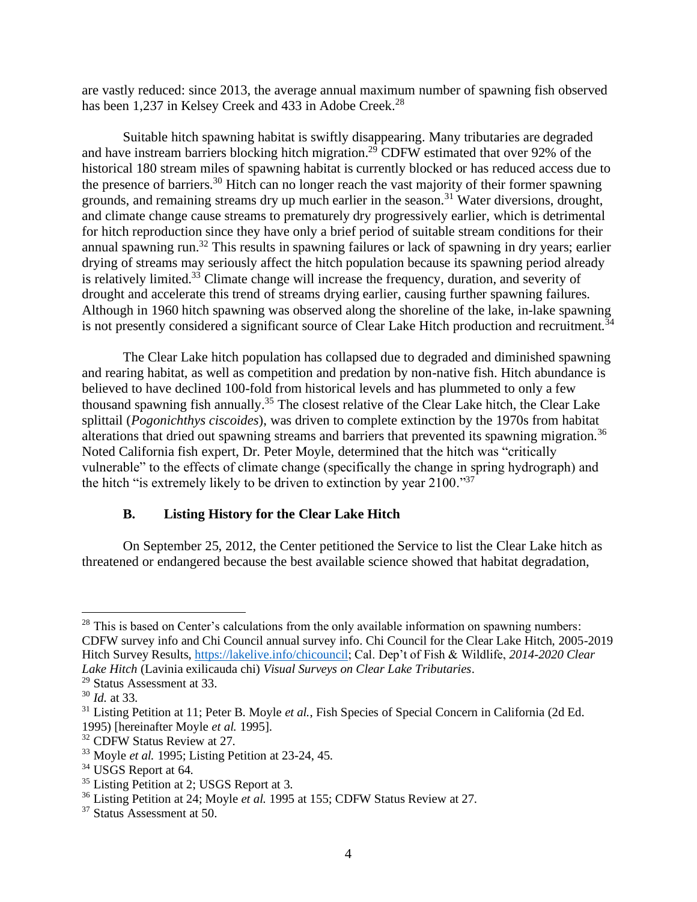are vastly reduced: since 2013, the average annual maximum number of spawning fish observed has been 1,237 in Kelsey Creek and 433 in Adobe Creek.<sup>28</sup>

Suitable hitch spawning habitat is swiftly disappearing. Many tributaries are degraded and have instream barriers blocking hitch migration. <sup>29</sup> CDFW estimated that over 92% of the historical 180 stream miles of spawning habitat is currently blocked or has reduced access due to the presence of barriers.<sup>30</sup> Hitch can no longer reach the vast majority of their former spawning grounds, and remaining streams dry up much earlier in the season.<sup>31</sup> Water diversions, drought, and climate change cause streams to prematurely dry progressively earlier, which is detrimental for hitch reproduction since they have only a brief period of suitable stream conditions for their annual spawning run.<sup>32</sup> This results in spawning failures or lack of spawning in dry years; earlier drying of streams may seriously affect the hitch population because its spawning period already is relatively limited.<sup>33</sup> Climate change will increase the frequency, duration, and severity of drought and accelerate this trend of streams drying earlier, causing further spawning failures. Although in 1960 hitch spawning was observed along the shoreline of the lake, in-lake spawning is not presently considered a significant source of Clear Lake Hitch production and recruitment.<sup>34</sup>

The Clear Lake hitch population has collapsed due to degraded and diminished spawning and rearing habitat, as well as competition and predation by non-native fish. Hitch abundance is believed to have declined 100-fold from historical levels and has plummeted to only a few thousand spawning fish annually.<sup>35</sup> The closest relative of the Clear Lake hitch, the Clear Lake splittail (*Pogonichthys ciscoides*), was driven to complete extinction by the 1970s from habitat alterations that dried out spawning streams and barriers that prevented its spawning migration.<sup>36</sup> Noted California fish expert, Dr. Peter Moyle, determined that the hitch was "critically vulnerable" to the effects of climate change (specifically the change in spring hydrograph) and the hitch "is extremely likely to be driven to extinction by year 2100."<sup>37</sup>

# **B. Listing History for the Clear Lake Hitch**

On September 25, 2012, the Center petitioned the Service to list the Clear Lake hitch as threatened or endangered because the best available science showed that habitat degradation,

 $28$  This is based on Center's calculations from the only available information on spawning numbers: CDFW survey info and Chi Council annual survey info. Chi Council for the Clear Lake Hitch, 2005-2019 Hitch Survey Results, [https://lakelive.info/chicouncil;](https://lakelive.info/chicouncil) Cal. Dep't of Fish & Wildlife, *2014-2020 Clear Lake Hitch* (Lavinia exilicauda chi) *Visual Surveys on Clear Lake Tributaries*.

<sup>29</sup> Status Assessment at 33.

<sup>30</sup> *Id.* at 33.

<sup>&</sup>lt;sup>31</sup> Listing Petition at 11; Peter B. Moyle *et al.*, Fish Species of Special Concern in California (2d Ed. 1995) [hereinafter Moyle *et al.* 1995].

<sup>&</sup>lt;sup>32</sup> CDFW Status Review at 27.

<sup>33</sup> Moyle *et al.* 1995; Listing Petition at 23-24, 45.

<sup>&</sup>lt;sup>34</sup> USGS Report at 64.

<sup>&</sup>lt;sup>35</sup> Listing Petition at 2; USGS Report at 3.

<sup>36</sup> Listing Petition at 24; Moyle *et al.* 1995 at 155; CDFW Status Review at 27.

<sup>37</sup> Status Assessment at 50.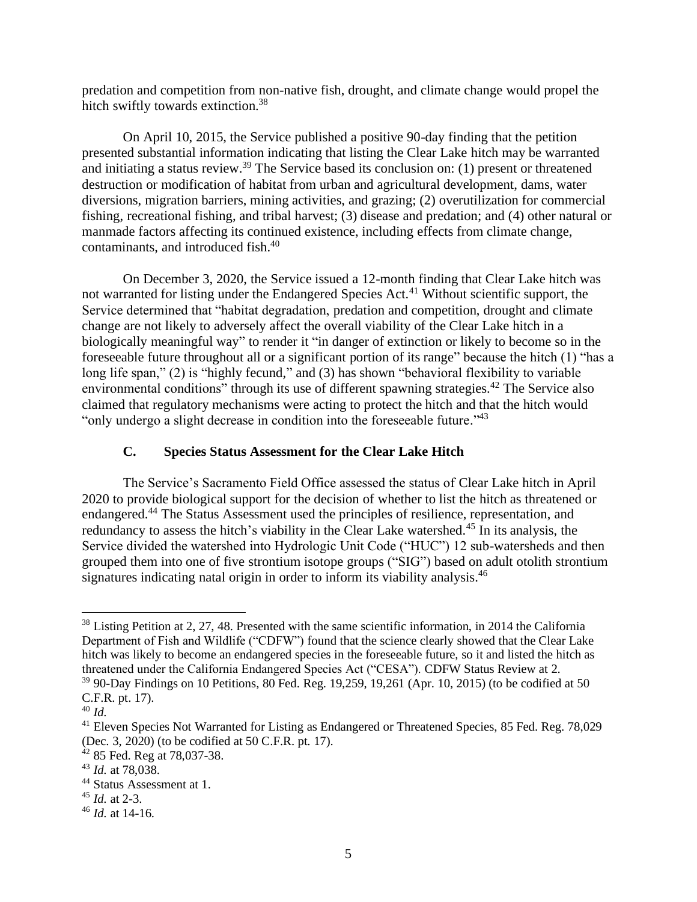predation and competition from non-native fish, drought, and climate change would propel the hitch swiftly towards extinction.<sup>38</sup>

On April 10, 2015, the Service published a positive 90-day finding that the petition presented substantial information indicating that listing the Clear Lake hitch may be warranted and initiating a status review.<sup>39</sup> The Service based its conclusion on: (1) present or threatened destruction or modification of habitat from urban and agricultural development, dams, water diversions, migration barriers, mining activities, and grazing; (2) overutilization for commercial fishing, recreational fishing, and tribal harvest; (3) disease and predation; and (4) other natural or manmade factors affecting its continued existence, including effects from climate change, contaminants, and introduced fish.<sup>40</sup>

On December 3, 2020, the Service issued a 12-month finding that Clear Lake hitch was not warranted for listing under the Endangered Species Act.<sup>41</sup> Without scientific support, the Service determined that "habitat degradation, predation and competition, drought and climate change are not likely to adversely affect the overall viability of the Clear Lake hitch in a biologically meaningful way" to render it "in danger of extinction or likely to become so in the foreseeable future throughout all or a significant portion of its range" because the hitch (1) "has a long life span," (2) is "highly fecund," and (3) has shown "behavioral flexibility to variable environmental conditions" through its use of different spawning strategies.<sup>42</sup> The Service also claimed that regulatory mechanisms were acting to protect the hitch and that the hitch would "only undergo a slight decrease in condition into the foreseeable future."<sup>43</sup>

## **C. Species Status Assessment for the Clear Lake Hitch**

The Service's Sacramento Field Office assessed the status of Clear Lake hitch in April 2020 to provide biological support for the decision of whether to list the hitch as threatened or endangered.<sup>44</sup> The Status Assessment used the principles of resilience, representation, and redundancy to assess the hitch's viability in the Clear Lake watershed.<sup>45</sup> In its analysis, the Service divided the watershed into Hydrologic Unit Code ("HUC") 12 sub-watersheds and then grouped them into one of five strontium isotope groups ("SIG") based on adult otolith strontium signatures indicating natal origin in order to inform its viability analysis.<sup>46</sup>

<sup>&</sup>lt;sup>38</sup> Listing Petition at 2, 27, 48. Presented with the same scientific information, in 2014 the California Department of Fish and Wildlife ("CDFW") found that the science clearly showed that the Clear Lake hitch was likely to become an endangered species in the foreseeable future, so it and listed the hitch as threatened under the California Endangered Species Act ("CESA"). CDFW Status Review at 2.

 $39$  90-Day Findings on 10 Petitions, 80 Fed. Reg. 19,259, 19,261 (Apr. 10, 2015) (to be codified at 50 C.F.R. pt. 17).

<sup>40</sup> *Id.*

<sup>&</sup>lt;sup>41</sup> Eleven Species Not Warranted for Listing as Endangered or Threatened Species, 85 Fed. Reg. 78,029 (Dec. 3, 2020) (to be codified at 50 C.F.R. pt. 17).

 $42$  85 Fed. Reg at 78,037-38.

<sup>43</sup> *Id.* at 78,038.

<sup>44</sup> Status Assessment at 1.

<sup>45</sup> *Id.* at 2-3.

<sup>46</sup> *Id.* at 14-16.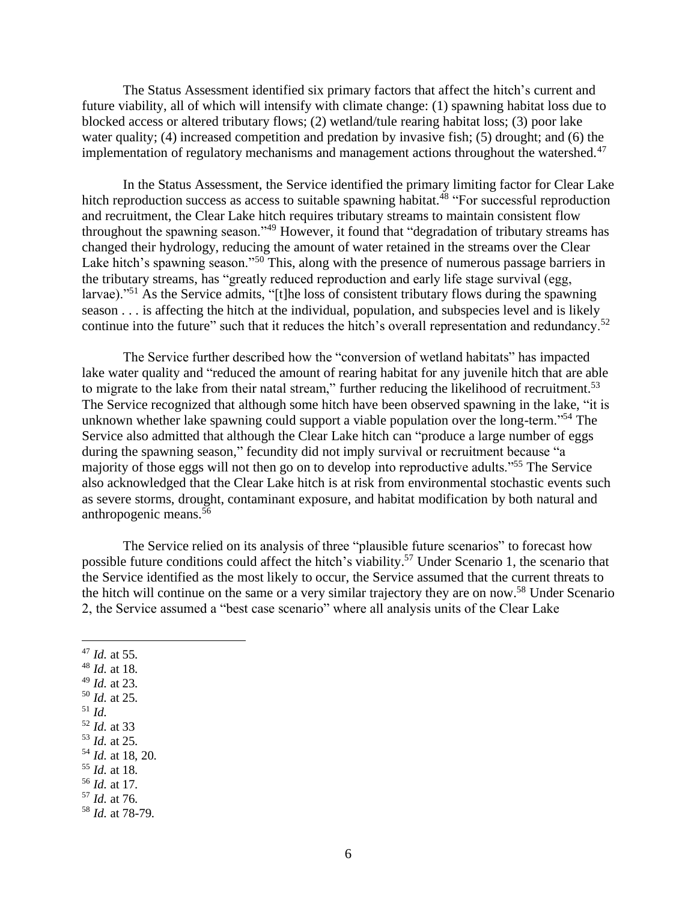The Status Assessment identified six primary factors that affect the hitch's current and future viability, all of which will intensify with climate change: (1) spawning habitat loss due to blocked access or altered tributary flows; (2) wetland/tule rearing habitat loss; (3) poor lake water quality; (4) increased competition and predation by invasive fish; (5) drought; and (6) the implementation of regulatory mechanisms and management actions throughout the watershed.<sup>47</sup>

In the Status Assessment, the Service identified the primary limiting factor for Clear Lake hitch reproduction success as access to suitable spawning habitat.<sup>48</sup> "For successful reproduction and recruitment, the Clear Lake hitch requires tributary streams to maintain consistent flow throughout the spawning season."<sup>49</sup> However, it found that "degradation of tributary streams has changed their hydrology, reducing the amount of water retained in the streams over the Clear Lake hitch's spawning season."<sup>50</sup> This, along with the presence of numerous passage barriers in the tributary streams, has "greatly reduced reproduction and early life stage survival (egg, larvae)."<sup>51</sup> As the Service admits, "[t]he loss of consistent tributary flows during the spawning season . . . is affecting the hitch at the individual, population, and subspecies level and is likely continue into the future" such that it reduces the hitch's overall representation and redundancy.<sup>52</sup>

The Service further described how the "conversion of wetland habitats" has impacted lake water quality and "reduced the amount of rearing habitat for any juvenile hitch that are able to migrate to the lake from their natal stream," further reducing the likelihood of recruitment.<sup>53</sup> The Service recognized that although some hitch have been observed spawning in the lake, "it is unknown whether lake spawning could support a viable population over the long-term."<sup>54</sup> The Service also admitted that although the Clear Lake hitch can "produce a large number of eggs during the spawning season," fecundity did not imply survival or recruitment because "a majority of those eggs will not then go on to develop into reproductive adults."<sup>55</sup> The Service also acknowledged that the Clear Lake hitch is at risk from environmental stochastic events such as severe storms, drought, contaminant exposure, and habitat modification by both natural and anthropogenic means.<sup>56</sup>

The Service relied on its analysis of three "plausible future scenarios" to forecast how possible future conditions could affect the hitch's viability.<sup>57</sup> Under Scenario 1, the scenario that the Service identified as the most likely to occur, the Service assumed that the current threats to the hitch will continue on the same or a very similar trajectory they are on now.<sup>58</sup> Under Scenario 2, the Service assumed a "best case scenario" where all analysis units of the Clear Lake

- <sup>47</sup> *Id.* at 55.
- <sup>48</sup> *Id.* at 18.
- <sup>49</sup> *Id.* at 23.
- <sup>50</sup> *Id.* at 25.
- <sup>51</sup> *Id.*
- <sup>52</sup> *Id.* at 33 <sup>53</sup> *Id.* at 25.
- <sup>54</sup> *Id.* at 18, 20.
- <sup>55</sup> *Id.* at 18.
- <sup>56</sup> *Id.* at 17.
- <sup>57</sup> *Id.* at 76.
- <sup>58</sup> *Id.* at 78-79.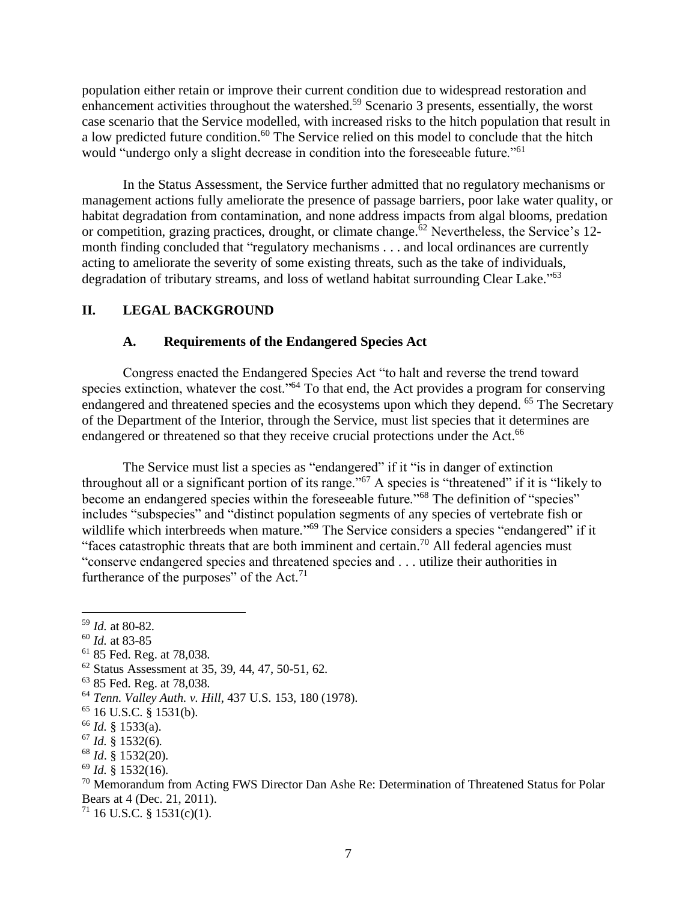population either retain or improve their current condition due to widespread restoration and enhancement activities throughout the watershed.<sup>59</sup> Scenario 3 presents, essentially, the worst case scenario that the Service modelled, with increased risks to the hitch population that result in a low predicted future condition.<sup>60</sup> The Service relied on this model to conclude that the hitch would "undergo only a slight decrease in condition into the foreseeable future."<sup>61</sup>

In the Status Assessment, the Service further admitted that no regulatory mechanisms or management actions fully ameliorate the presence of passage barriers, poor lake water quality, or habitat degradation from contamination, and none address impacts from algal blooms, predation or competition, grazing practices, drought, or climate change.<sup>62</sup> Nevertheless, the Service's 12month finding concluded that "regulatory mechanisms . . . and local ordinances are currently acting to ameliorate the severity of some existing threats, such as the take of individuals, degradation of tributary streams, and loss of wetland habitat surrounding Clear Lake."<sup>63</sup>

#### **II. LEGAL BACKGROUND**

#### **A. Requirements of the Endangered Species Act**

Congress enacted the Endangered Species Act "to halt and reverse the trend toward species extinction, whatever the cost."<sup>64</sup> To that end, the Act provides a program for conserving endangered and threatened species and the ecosystems upon which they depend. <sup>65</sup> The Secretary of the Department of the Interior, through the Service, must list species that it determines are endangered or threatened so that they receive crucial protections under the Act.<sup>66</sup>

The Service must list a species as "endangered" if it "is in danger of extinction throughout all or a significant portion of its range."<sup>67</sup> A species is "threatened" if it is "likely to become an endangered species within the foreseeable future."<sup>68</sup> The definition of "species" includes "subspecies" and "distinct population segments of any species of vertebrate fish or wildlife which interbreeds when mature."<sup>69</sup> The Service considers a species "endangered" if it "faces catastrophic threats that are both imminent and certain.<sup>70</sup> All federal agencies must "conserve endangered species and threatened species and . . . utilize their authorities in furtherance of the purposes" of the Act.<sup>71</sup>

<sup>60</sup> *Id.* at 83-85

- <sup>66</sup> *Id.* § 1533(a).
- $\frac{67}{1}$ *Id.*  $\frac{8}{9}$  1532(6).

 $71$  16 U.S.C. § 1531(c)(1).

<sup>59</sup> *Id.* at 80-82.

<sup>61</sup> 85 Fed. Reg. at 78,038.

<sup>62</sup> Status Assessment at 35, 39, 44, 47, 50-51, 62.

<sup>63</sup> 85 Fed. Reg. at 78,038.

<sup>64</sup> *Tenn. Valley Auth. v. Hill*, 437 U.S. 153, 180 (1978).

 $65$  16 U.S.C. § 1531(b).

<sup>68</sup> *Id*. § 1532(20).

<sup>69</sup> *Id.* § 1532(16).

<sup>&</sup>lt;sup>70</sup> Memorandum from Acting FWS Director Dan Ashe Re: Determination of Threatened Status for Polar Bears at 4 (Dec. 21, 2011).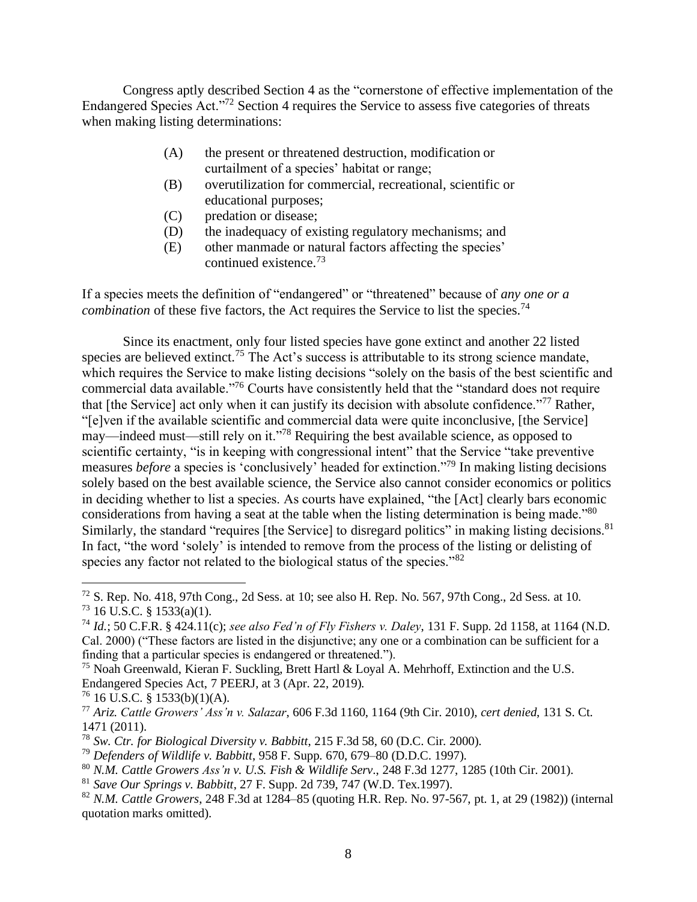Congress aptly described Section 4 as the "cornerstone of effective implementation of the Endangered Species Act."<sup>72</sup> Section 4 requires the Service to assess five categories of threats when making listing determinations:

- (A) the present or threatened destruction, modification or curtailment of a species' habitat or range;
- (B) overutilization for commercial, recreational, scientific or educational purposes;
- (C) predation or disease;
- (D) the inadequacy of existing regulatory mechanisms; and
- (E) other manmade or natural factors affecting the species' continued existence.<sup>73</sup>

If a species meets the definition of "endangered" or "threatened" because of *any one or a combination* of these five factors, the Act requires the Service to list the species.<sup>74</sup>

Since its enactment, only four listed species have gone extinct and another 22 listed species are believed extinct.<sup>75</sup> The Act's success is attributable to its strong science mandate, which requires the Service to make listing decisions "solely on the basis of the best scientific and commercial data available."<sup>76</sup> Courts have consistently held that the "standard does not require that [the Service] act only when it can justify its decision with absolute confidence."<sup>77</sup> Rather, "[e]ven if the available scientific and commercial data were quite inconclusive, [the Service] may—indeed must—still rely on it."<sup>78</sup> Requiring the best available science, as opposed to scientific certainty, "is in keeping with congressional intent" that the Service "take preventive" measures *before* a species is 'conclusively' headed for extinction."<sup>79</sup> In making listing decisions solely based on the best available science, the Service also cannot consider economics or politics in deciding whether to list a species. As courts have explained, "the [Act] clearly bars economic considerations from having a seat at the table when the listing determination is being made."<sup>80</sup> Similarly, the standard "requires [the Service] to disregard politics" in making listing decisions.<sup>81</sup> In fact, "the word 'solely' is intended to remove from the process of the listing or delisting of species any factor not related to the biological status of the species."<sup>82</sup>

 $72$  S. Rep. No. 418, 97th Cong., 2d Sess. at 10; see also H. Rep. No. 567, 97th Cong., 2d Sess. at 10.  $^{73}$  16 U.S.C. § 1533(a)(1).

<sup>74</sup> *Id.*; 50 C.F.R. § 424.11(c); *see also Fed'n of Fly Fishers v. Daley*, 131 F. Supp. 2d 1158, at 1164 (N.D. Cal. 2000) ("These factors are listed in the disjunctive; any one or a combination can be sufficient for a finding that a particular species is endangered or threatened.").

<sup>&</sup>lt;sup>75</sup> Noah Greenwald, Kieran F. Suckling, Brett Hartl & Loyal A. Mehrhoff, Extinction and the U.S. Endangered Species Act, 7 PEERJ, at 3 (Apr. 22, 2019).

 $76$  16 U.S.C. § 1533(b)(1)(A).

<sup>77</sup> *Ariz. Cattle Growers' Ass'n v. Salazar*, 606 F.3d 1160, 1164 (9th Cir. 2010), *cert denied*, 131 S. Ct. 1471 (2011).

<sup>78</sup> *Sw. Ctr. for Biological Diversity v. Babbitt*, 215 F.3d 58, 60 (D.C. Cir. 2000).

<sup>79</sup> *Defenders of Wildlife v. Babbitt*, 958 F. Supp. 670, 679–80 (D.D.C. 1997).

<sup>80</sup> *N.M. Cattle Growers Ass'n v. U.S. Fish & Wildlife Serv*., 248 F.3d 1277, 1285 (10th Cir. 2001).

<sup>81</sup> *Save Our Springs v. Babbitt*, 27 F. Supp. 2d 739, 747 (W.D. Tex.1997).

<sup>82</sup> *N.M. Cattle Growers*, 248 F.3d at 1284–85 (quoting H.R. Rep. No. 97-567, pt. 1, at 29 (1982)) (internal quotation marks omitted).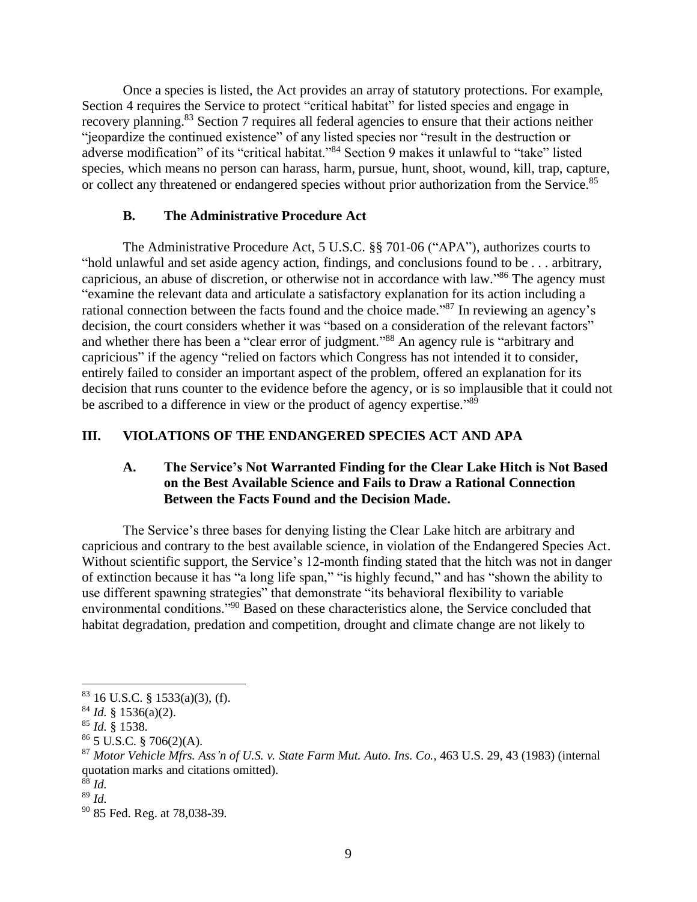Once a species is listed, the Act provides an array of statutory protections. For example, Section 4 requires the Service to protect "critical habitat" for listed species and engage in recovery planning.<sup>83</sup> Section 7 requires all federal agencies to ensure that their actions neither "jeopardize the continued existence" of any listed species nor "result in the destruction or adverse modification" of its "critical habitat."<sup>84</sup> Section 9 makes it unlawful to "take" listed species, which means no person can harass, harm, pursue, hunt, shoot, wound, kill, trap, capture, or collect any threatened or endangered species without prior authorization from the Service.<sup>85</sup>

### **B. The Administrative Procedure Act**

The Administrative Procedure Act, 5 U.S.C. §§ 701-06 ("APA"), authorizes courts to "hold unlawful and set aside agency action, findings, and conclusions found to be . . . arbitrary, capricious, an abuse of discretion, or otherwise not in accordance with law."<sup>86</sup> The agency must "examine the relevant data and articulate a satisfactory explanation for its action including a rational connection between the facts found and the choice made."<sup>87</sup> In reviewing an agency's decision, the court considers whether it was "based on a consideration of the relevant factors" and whether there has been a "clear error of judgment."<sup>88</sup> An agency rule is "arbitrary and capricious" if the agency "relied on factors which Congress has not intended it to consider, entirely failed to consider an important aspect of the problem, offered an explanation for its decision that runs counter to the evidence before the agency, or is so implausible that it could not be ascribed to a difference in view or the product of agency expertise."<sup>89</sup>

## **III. VIOLATIONS OF THE ENDANGERED SPECIES ACT AND APA**

### **A. The Service's Not Warranted Finding for the Clear Lake Hitch is Not Based on the Best Available Science and Fails to Draw a Rational Connection Between the Facts Found and the Decision Made.**

The Service's three bases for denying listing the Clear Lake hitch are arbitrary and capricious and contrary to the best available science, in violation of the Endangered Species Act. Without scientific support, the Service's 12-month finding stated that the hitch was not in danger of extinction because it has "a long life span," "is highly fecund," and has "shown the ability to use different spawning strategies" that demonstrate "its behavioral flexibility to variable environmental conditions."<sup>90</sup> Based on these characteristics alone, the Service concluded that habitat degradation, predation and competition, drought and climate change are not likely to

 $83$  16 U.S.C. § 1533(a)(3), (f).

<sup>84</sup> *Id.* § 1536(a)(2).

<sup>85</sup> *Id.* § 1538.

 $86$  5 U.S.C. § 706(2)(A).

<sup>87</sup> *Motor Vehicle Mfrs. Ass'n of U.S. v. State Farm Mut. Auto. Ins. Co.*, 463 U.S. 29, 43 (1983) (internal quotation marks and citations omitted).

<sup>88</sup> *Id.*

<sup>89</sup> *Id.*

<sup>90</sup> 85 Fed. Reg. at 78,038-39.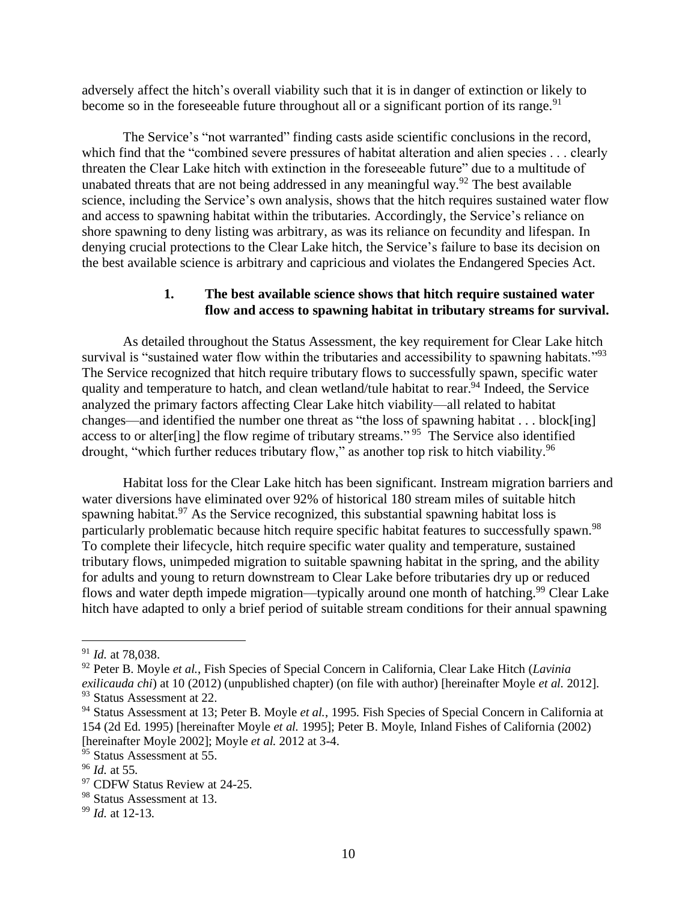adversely affect the hitch's overall viability such that it is in danger of extinction or likely to become so in the foreseeable future throughout all or a significant portion of its range.<sup>91</sup>

The Service's "not warranted" finding casts aside scientific conclusions in the record, which find that the "combined severe pressures of habitat alteration and alien species . . . clearly threaten the Clear Lake hitch with extinction in the foreseeable future" due to a multitude of unabated threats that are not being addressed in any meaningful way.<sup>92</sup> The best available science, including the Service's own analysis, shows that the hitch requires sustained water flow and access to spawning habitat within the tributaries. Accordingly, the Service's reliance on shore spawning to deny listing was arbitrary, as was its reliance on fecundity and lifespan. In denying crucial protections to the Clear Lake hitch, the Service's failure to base its decision on the best available science is arbitrary and capricious and violates the Endangered Species Act.

#### **1. The best available science shows that hitch require sustained water flow and access to spawning habitat in tributary streams for survival.**

As detailed throughout the Status Assessment, the key requirement for Clear Lake hitch survival is "sustained water flow within the tributaries and accessibility to spawning habitats."<sup>93</sup> The Service recognized that hitch require tributary flows to successfully spawn, specific water quality and temperature to hatch, and clean wetland/tule habitat to rear.<sup>94</sup> Indeed, the Service analyzed the primary factors affecting Clear Lake hitch viability—all related to habitat changes—and identified the number one threat as "the loss of spawning habitat . . . block[ing] access to or alter[ing] the flow regime of tributary streams."<sup>95</sup> The Service also identified drought, "which further reduces tributary flow," as another top risk to hitch viability.<sup>96</sup>

Habitat loss for the Clear Lake hitch has been significant. Instream migration barriers and water diversions have eliminated over 92% of historical 180 stream miles of suitable hitch spawning habitat.<sup>97</sup> As the Service recognized, this substantial spawning habitat loss is particularly problematic because hitch require specific habitat features to successfully spawn.<sup>98</sup> To complete their lifecycle, hitch require specific water quality and temperature, sustained tributary flows, unimpeded migration to suitable spawning habitat in the spring, and the ability for adults and young to return downstream to Clear Lake before tributaries dry up or reduced flows and water depth impede migration—typically around one month of hatching.<sup>99</sup> Clear Lake hitch have adapted to only a brief period of suitable stream conditions for their annual spawning

<sup>91</sup> *Id.* at 78,038.

<sup>92</sup> Peter B. Moyle *et al.*, Fish Species of Special Concern in California, Clear Lake Hitch (*Lavinia exilicauda chi*) at 10 (2012) (unpublished chapter) (on file with author) [hereinafter Moyle *et al.* 2012]. <sup>93</sup> Status Assessment at 22.

<sup>&</sup>lt;sup>94</sup> Status Assessment at 13; Peter B. Moyle *et al.*, 1995. Fish Species of Special Concern in California at 154 (2d Ed. 1995) [hereinafter Moyle *et al.* 1995]; Peter B. Moyle, Inland Fishes of California (2002) [hereinafter Moyle 2002]; Moyle *et al.* 2012 at 3-4.

<sup>&</sup>lt;sup>95</sup> Status Assessment at 55.

<sup>96</sup> *Id.* at 55.

<sup>&</sup>lt;sup>97</sup> CDFW Status Review at 24-25.

<sup>98</sup> Status Assessment at 13.

<sup>99</sup> *Id.* at 12-13.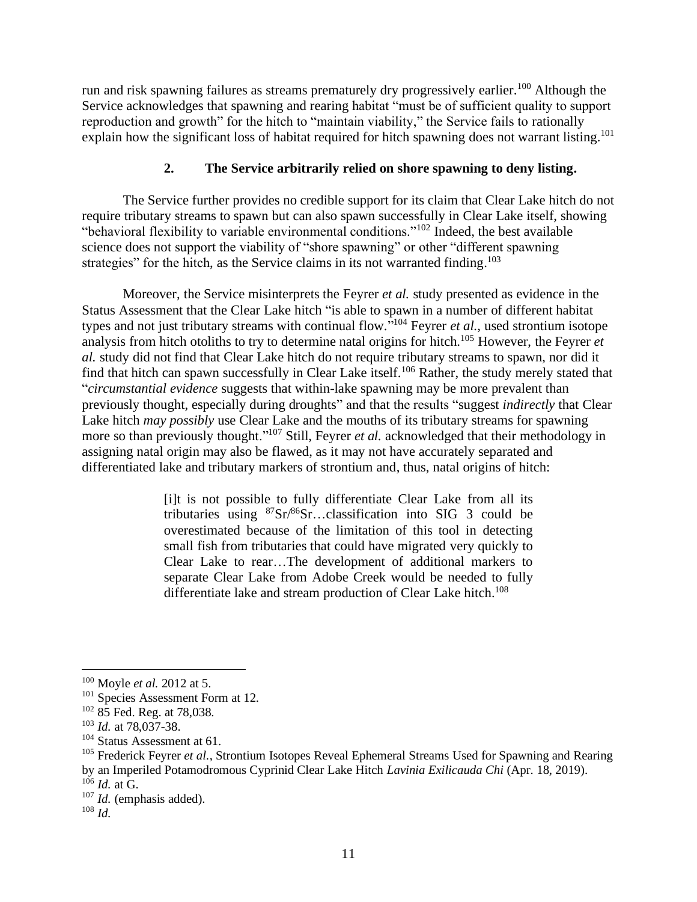run and risk spawning failures as streams prematurely dry progressively earlier.<sup>100</sup> Although the Service acknowledges that spawning and rearing habitat "must be of sufficient quality to support reproduction and growth" for the hitch to "maintain viability," the Service fails to rationally explain how the significant loss of habitat required for hitch spawning does not warrant listing.<sup>101</sup>

### **2. The Service arbitrarily relied on shore spawning to deny listing.**

The Service further provides no credible support for its claim that Clear Lake hitch do not require tributary streams to spawn but can also spawn successfully in Clear Lake itself, showing "behavioral flexibility to variable environmental conditions."<sup>102</sup> Indeed, the best available science does not support the viability of "shore spawning" or other "different spawning strategies" for the hitch, as the Service claims in its not warranted finding.<sup>103</sup>

Moreover, the Service misinterprets the Feyrer *et al.* study presented as evidence in the Status Assessment that the Clear Lake hitch "is able to spawn in a number of different habitat types and not just tributary streams with continual flow." <sup>104</sup> Feyrer *et al.*, used strontium isotope analysis from hitch otoliths to try to determine natal origins for hitch.<sup>105</sup> However, the Feyrer *et al.* study did not find that Clear Lake hitch do not require tributary streams to spawn, nor did it find that hitch can spawn successfully in Clear Lake itself.<sup>106</sup> Rather, the study merely stated that "*circumstantial evidence* suggests that within-lake spawning may be more prevalent than previously thought, especially during droughts" and that the results "suggest *indirectly* that Clear Lake hitch *may possibly* use Clear Lake and the mouths of its tributary streams for spawning more so than previously thought."<sup>107</sup> Still, Feyrer *et al.* acknowledged that their methodology in assigning natal origin may also be flawed, as it may not have accurately separated and differentiated lake and tributary markers of strontium and, thus, natal origins of hitch:

> [i]t is not possible to fully differentiate Clear Lake from all its tributaries using  ${}^{87}Sr/{}^{86}Sr...$ classification into SIG 3 could be overestimated because of the limitation of this tool in detecting small fish from tributaries that could have migrated very quickly to Clear Lake to rear…The development of additional markers to separate Clear Lake from Adobe Creek would be needed to fully differentiate lake and stream production of Clear Lake hitch.<sup>108</sup>

<sup>106</sup> *Id.* at G.

<sup>100</sup> Moyle *et al.* 2012 at 5.

<sup>&</sup>lt;sup>101</sup> Species Assessment Form at 12.

<sup>102</sup> 85 Fed. Reg. at 78,038.

<sup>103</sup> *Id.* at 78,037-38.

<sup>&</sup>lt;sup>104</sup> Status Assessment at 61.

<sup>&</sup>lt;sup>105</sup> Frederick Feyrer *et al.*, Strontium Isotopes Reveal Ephemeral Streams Used for Spawning and Rearing

by an Imperiled Potamodromous Cyprinid Clear Lake Hitch *Lavinia Exilicauda Chi* (Apr. 18, 2019).

<sup>107</sup> *Id.* (emphasis added).

<sup>108</sup> *Id.*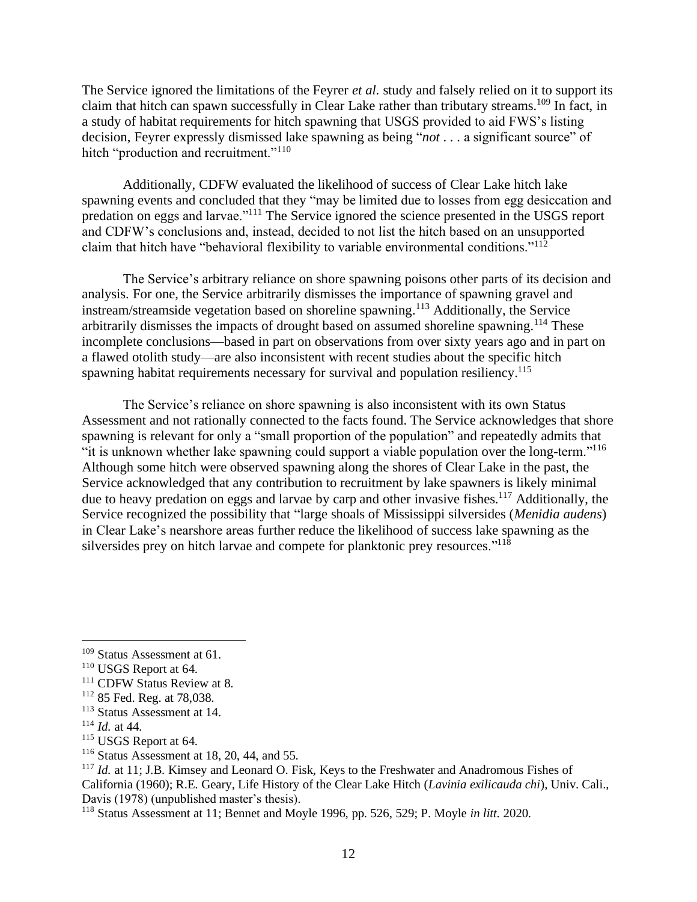The Service ignored the limitations of the Feyrer *et al.* study and falsely relied on it to support its claim that hitch can spawn successfully in Clear Lake rather than tributary streams.<sup>109</sup> In fact, in a study of habitat requirements for hitch spawning that USGS provided to aid FWS's listing decision, Feyrer expressly dismissed lake spawning as being "*not* . . . a significant source" of hitch "production and recruitment."<sup>110</sup>

Additionally, CDFW evaluated the likelihood of success of Clear Lake hitch lake spawning events and concluded that they "may be limited due to losses from egg desiccation and predation on eggs and larvae."<sup>111</sup> The Service ignored the science presented in the USGS report and CDFW's conclusions and, instead, decided to not list the hitch based on an unsupported claim that hitch have "behavioral flexibility to variable environmental conditions."<sup>112</sup>

The Service's arbitrary reliance on shore spawning poisons other parts of its decision and analysis. For one, the Service arbitrarily dismisses the importance of spawning gravel and instream/streamside vegetation based on shoreline spawning. <sup>113</sup> Additionally, the Service arbitrarily dismisses the impacts of drought based on assumed shoreline spawning.<sup>114</sup> These incomplete conclusions—based in part on observations from over sixty years ago and in part on a flawed otolith study—are also inconsistent with recent studies about the specific hitch spawning habitat requirements necessary for survival and population resiliency.<sup>115</sup>

The Service's reliance on shore spawning is also inconsistent with its own Status Assessment and not rationally connected to the facts found. The Service acknowledges that shore spawning is relevant for only a "small proportion of the population" and repeatedly admits that "it is unknown whether lake spawning could support a viable population over the long-term."<sup>116</sup> Although some hitch were observed spawning along the shores of Clear Lake in the past, the Service acknowledged that any contribution to recruitment by lake spawners is likely minimal due to heavy predation on eggs and larvae by carp and other invasive fishes.<sup>117</sup> Additionally, the Service recognized the possibility that "large shoals of Mississippi silversides (*Menidia audens*) in Clear Lake's nearshore areas further reduce the likelihood of success lake spawning as the silversides prey on hitch larvae and compete for planktonic prey resources."<sup>118</sup>

<sup>109</sup> Status Assessment at 61.

<sup>&</sup>lt;sup>110</sup> USGS Report at 64.

<sup>&</sup>lt;sup>111</sup> CDFW Status Review at 8.

<sup>112</sup> 85 Fed. Reg. at 78,038.

<sup>113</sup> Status Assessment at 14.

<sup>114</sup> *Id.* at 44.

<sup>&</sup>lt;sup>115</sup> USGS Report at 64.

<sup>&</sup>lt;sup>116</sup> Status Assessment at 18, 20, 44, and 55.

<sup>&</sup>lt;sup>117</sup> *Id.* at 11; J.B. Kimsey and Leonard O. Fisk, Keys to the Freshwater and Anadromous Fishes of California (1960); R.E. Geary, Life History of the Clear Lake Hitch (*Lavinia exilicauda chi*), Univ. Cali., Davis (1978) (unpublished master's thesis).

<sup>118</sup> Status Assessment at 11; Bennet and Moyle 1996, pp. 526, 529; P. Moyle *in litt.* 2020.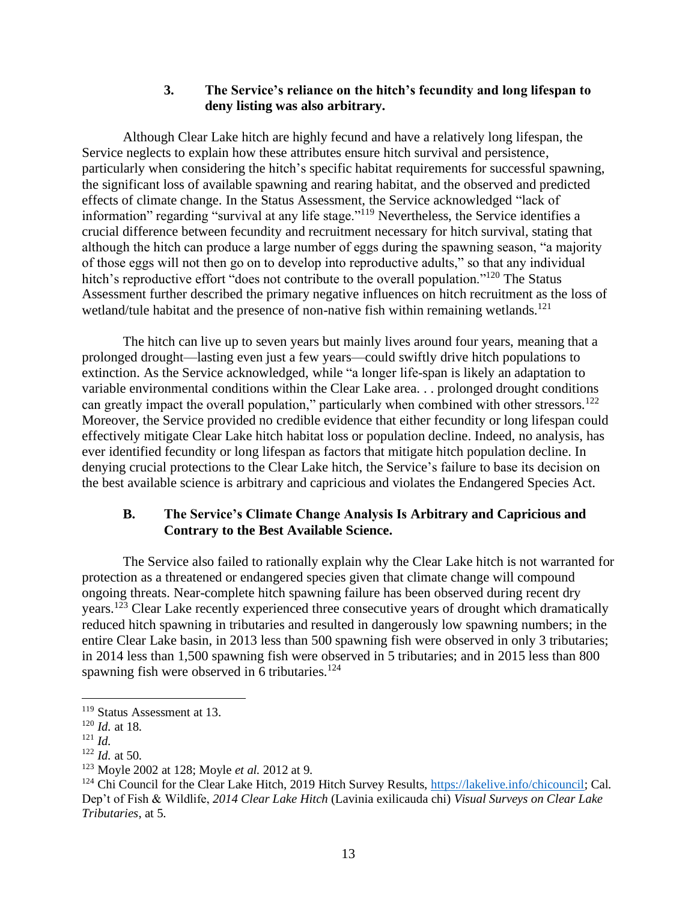#### **3. The Service's reliance on the hitch's fecundity and long lifespan to deny listing was also arbitrary.**

Although Clear Lake hitch are highly fecund and have a relatively long lifespan, the Service neglects to explain how these attributes ensure hitch survival and persistence, particularly when considering the hitch's specific habitat requirements for successful spawning, the significant loss of available spawning and rearing habitat, and the observed and predicted effects of climate change. In the Status Assessment, the Service acknowledged "lack of information" regarding "survival at any life stage."<sup>119</sup> Nevertheless, the Service identifies a crucial difference between fecundity and recruitment necessary for hitch survival, stating that although the hitch can produce a large number of eggs during the spawning season, "a majority of those eggs will not then go on to develop into reproductive adults," so that any individual hitch's reproductive effort "does not contribute to the overall population."<sup>120</sup> The Status Assessment further described the primary negative influences on hitch recruitment as the loss of wetland/tule habitat and the presence of non-native fish within remaining wetlands.<sup>121</sup>

The hitch can live up to seven years but mainly lives around four years, meaning that a prolonged drought—lasting even just a few years—could swiftly drive hitch populations to extinction. As the Service acknowledged, while "a longer life-span is likely an adaptation to variable environmental conditions within the Clear Lake area. . . prolonged drought conditions can greatly impact the overall population," particularly when combined with other stressors.<sup>122</sup> Moreover, the Service provided no credible evidence that either fecundity or long lifespan could effectively mitigate Clear Lake hitch habitat loss or population decline. Indeed, no analysis, has ever identified fecundity or long lifespan as factors that mitigate hitch population decline. In denying crucial protections to the Clear Lake hitch, the Service's failure to base its decision on the best available science is arbitrary and capricious and violates the Endangered Species Act.

### **B. The Service's Climate Change Analysis Is Arbitrary and Capricious and Contrary to the Best Available Science.**

The Service also failed to rationally explain why the Clear Lake hitch is not warranted for protection as a threatened or endangered species given that climate change will compound ongoing threats. Near-complete hitch spawning failure has been observed during recent dry years.<sup>123</sup> Clear Lake recently experienced three consecutive years of drought which dramatically reduced hitch spawning in tributaries and resulted in dangerously low spawning numbers; in the entire Clear Lake basin, in 2013 less than 500 spawning fish were observed in only 3 tributaries; in 2014 less than 1,500 spawning fish were observed in 5 tributaries; and in 2015 less than 800 spawning fish were observed in 6 tributaries. $124$ 

<sup>&</sup>lt;sup>119</sup> Status Assessment at 13.

<sup>120</sup> *Id.* at 18.

<sup>121</sup> *Id.*

<sup>122</sup> *Id.* at 50.

<sup>123</sup> Moyle 2002 at 128; Moyle *et al.* 2012 at 9.

<sup>&</sup>lt;sup>124</sup> Chi Council for the Clear Lake Hitch, 2019 Hitch Survey Results, [https://lakelive.info/chicouncil;](https://lakelive.info/chicouncil) Cal. Dep't of Fish & Wildlife, *2014 Clear Lake Hitch* (Lavinia exilicauda chi) *Visual Surveys on Clear Lake Tributaries*, at 5.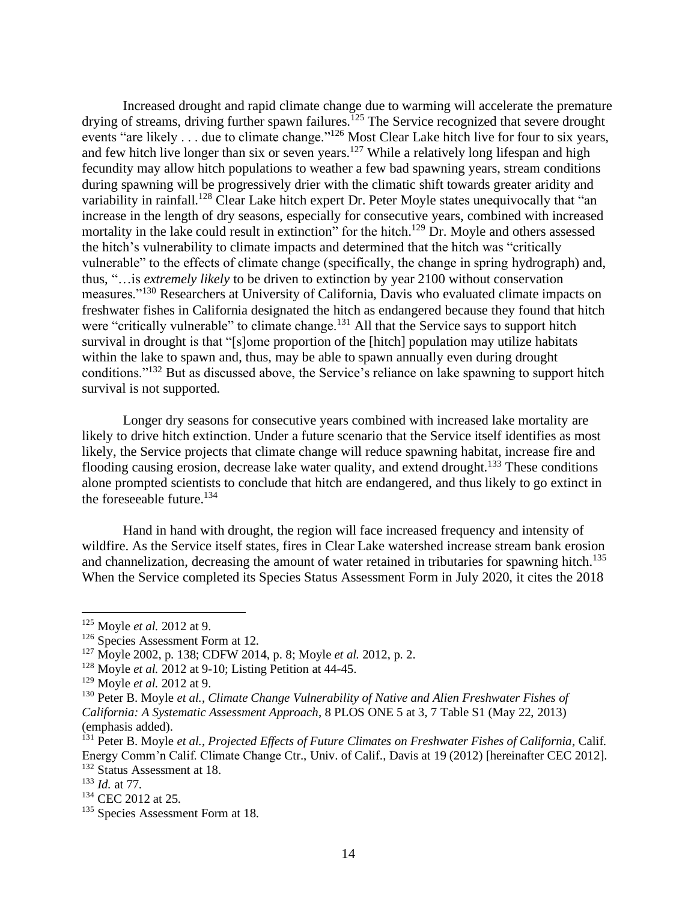Increased drought and rapid climate change due to warming will accelerate the premature drying of streams, driving further spawn failures.<sup>125</sup> The Service recognized that severe drought events "are likely . . . due to climate change."<sup>126</sup> Most Clear Lake hitch live for four to six years, and few hitch live longer than six or seven years.<sup>127</sup> While a relatively long lifespan and high fecundity may allow hitch populations to weather a few bad spawning years, stream conditions during spawning will be progressively drier with the climatic shift towards greater aridity and variability in rainfall.<sup>128</sup> Clear Lake hitch expert Dr. Peter Moyle states unequivocally that "an increase in the length of dry seasons, especially for consecutive years, combined with increased mortality in the lake could result in extinction" for the hitch.<sup>129</sup> Dr. Moyle and others assessed the hitch's vulnerability to climate impacts and determined that the hitch was "critically vulnerable" to the effects of climate change (specifically, the change in spring hydrograph) and, thus, "…is *extremely likely* to be driven to extinction by year 2100 without conservation measures."<sup>130</sup> Researchers at University of California, Davis who evaluated climate impacts on freshwater fishes in California designated the hitch as endangered because they found that hitch were "critically vulnerable" to climate change.<sup>131</sup> All that the Service says to support hitch survival in drought is that "[s]ome proportion of the [hitch] population may utilize habitats within the lake to spawn and, thus, may be able to spawn annually even during drought conditions."<sup>132</sup> But as discussed above, the Service's reliance on lake spawning to support hitch survival is not supported.

Longer dry seasons for consecutive years combined with increased lake mortality are likely to drive hitch extinction. Under a future scenario that the Service itself identifies as most likely, the Service projects that climate change will reduce spawning habitat, increase fire and flooding causing erosion, decrease lake water quality, and extend drought.<sup>133</sup> These conditions alone prompted scientists to conclude that hitch are endangered, and thus likely to go extinct in the foreseeable future.<sup>134</sup>

Hand in hand with drought, the region will face increased frequency and intensity of wildfire. As the Service itself states, fires in Clear Lake watershed increase stream bank erosion and channelization, decreasing the amount of water retained in tributaries for spawning hitch.<sup>135</sup> When the Service completed its Species Status Assessment Form in July 2020, it cites the 2018

<sup>133</sup> *Id.* at 77.

<sup>125</sup> Moyle *et al.* 2012 at 9.

<sup>&</sup>lt;sup>126</sup> Species Assessment Form at 12.

<sup>127</sup> Moyle 2002, p. 138; CDFW 2014, p. 8; Moyle *et al.* 2012, p. 2.

<sup>128</sup> Moyle *et al.* 2012 at 9-10; Listing Petition at 44-45.

<sup>129</sup> Moyle *et al.* 2012 at 9.

<sup>130</sup> Peter B. Moyle *et al.*, *Climate Change Vulnerability of Native and Alien Freshwater Fishes of California: A Systematic Assessment Approach*, 8 PLOS ONE 5 at 3, 7 Table S1 (May 22, 2013) (emphasis added).

<sup>131</sup> Peter B. Moyle *et al.*, *Projected Effects of Future Climates on Freshwater Fishes of California*, Calif. Energy Comm'n Calif. Climate Change Ctr., Univ. of Calif., Davis at 19 (2012) [hereinafter CEC 2012]. <sup>132</sup> Status Assessment at 18.

<sup>&</sup>lt;sup>134</sup> CEC 2012 at 25.

<sup>&</sup>lt;sup>135</sup> Species Assessment Form at 18.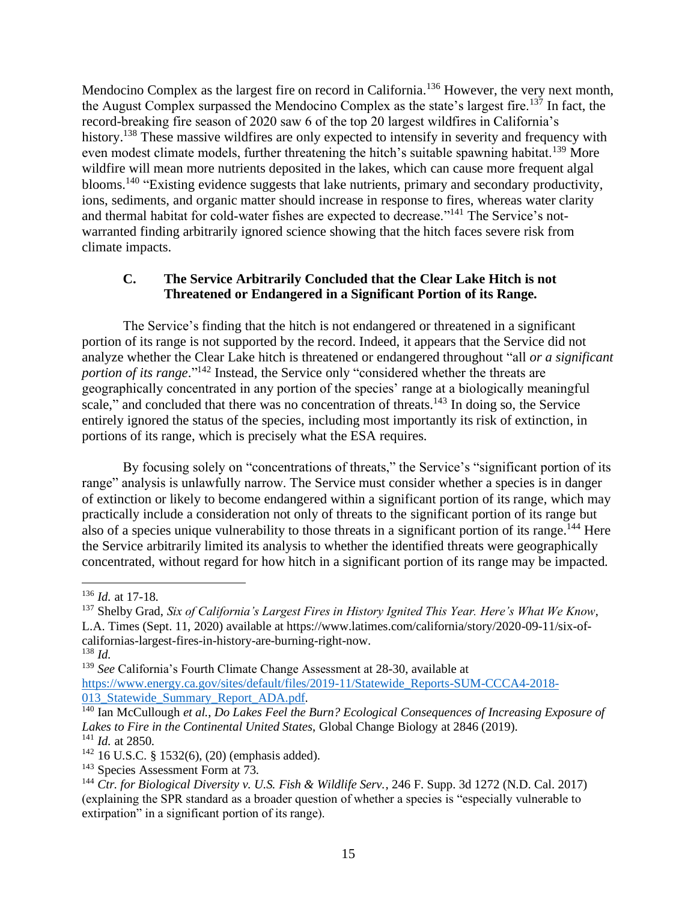Mendocino Complex as the largest fire on record in California.<sup>136</sup> However, the very next month, the August Complex surpassed the Mendocino Complex as the state's largest fire.<sup>137</sup> In fact, the record-breaking fire season of 2020 saw 6 of the top 20 largest wildfires in California's history.<sup>138</sup> These massive wildfires are only expected to intensify in severity and frequency with even modest climate models, further threatening the hitch's suitable spawning habitat.<sup>139</sup> More wildfire will mean more nutrients deposited in the lakes, which can cause more frequent algal blooms.<sup>140</sup> "Existing evidence suggests that lake nutrients, primary and secondary productivity, ions, sediments, and organic matter should increase in response to fires, whereas water clarity and thermal habitat for cold-water fishes are expected to decrease."<sup>141</sup> The Service's notwarranted finding arbitrarily ignored science showing that the hitch faces severe risk from climate impacts.

### **C. The Service Arbitrarily Concluded that the Clear Lake Hitch is not Threatened or Endangered in a Significant Portion of its Range.**

The Service's finding that the hitch is not endangered or threatened in a significant portion of its range is not supported by the record. Indeed, it appears that the Service did not analyze whether the Clear Lake hitch is threatened or endangered throughout "all *or a significant portion of its range*." <sup>142</sup> Instead, the Service only "considered whether the threats are geographically concentrated in any portion of the species' range at a biologically meaningful scale," and concluded that there was no concentration of threats.<sup>143</sup> In doing so, the Service entirely ignored the status of the species, including most importantly its risk of extinction, in portions of its range, which is precisely what the ESA requires.

By focusing solely on "concentrations of threats," the Service's "significant portion of its range" analysis is unlawfully narrow. The Service must consider whether a species is in danger of extinction or likely to become endangered within a significant portion of its range, which may practically include a consideration not only of threats to the significant portion of its range but also of a species unique vulnerability to those threats in a significant portion of its range.<sup>144</sup> Here the Service arbitrarily limited its analysis to whether the identified threats were geographically concentrated, without regard for how hitch in a significant portion of its range may be impacted.

<sup>136</sup> *Id.* at 17-18.

<sup>137</sup> Shelby Grad, *Six of California's Largest Fires in History Ignited This Year. Here's What We Know*, L.A. Times (Sept. 11, 2020) available at https://www.latimes.com/california/story/2020-09-11/six-ofcalifornias-largest-fires-in-history-are-burning-right-now.

<sup>138</sup> *Id.*

<sup>139</sup> *See* California's Fourth Climate Change Assessment at 28-30, available at [https://www.energy.ca.gov/sites/default/files/2019-11/Statewide\\_Reports-SUM-CCCA4-2018-](https://www.energy.ca.gov/sites/default/files/2019-11/Statewide_Reports-SUM-CCCA4-2018-013_Statewide_Summary_Report_ADA.pdf) 013 Statewide Summary Report ADA.pdf.

<sup>140</sup> Ian McCullough *et al.*, *Do Lakes Feel the Burn? Ecological Consequences of Increasing Exposure of Lakes to Fire in the Continental United States*, Global Change Biology at 2846 (2019). <sup>141</sup> *Id.* at 2850.

<sup>142</sup> 16 U.S.C. § 1532(6), (20) (emphasis added).

<sup>&</sup>lt;sup>143</sup> Species Assessment Form at 73.

<sup>144</sup> *Ctr. for Biological Diversity v. U.S. Fish & Wildlife Serv.*, 246 F. Supp. 3d 1272 (N.D. Cal. 2017) (explaining the SPR standard as a broader question of whether a species is "especially vulnerable to extirpation" in a significant portion of its range).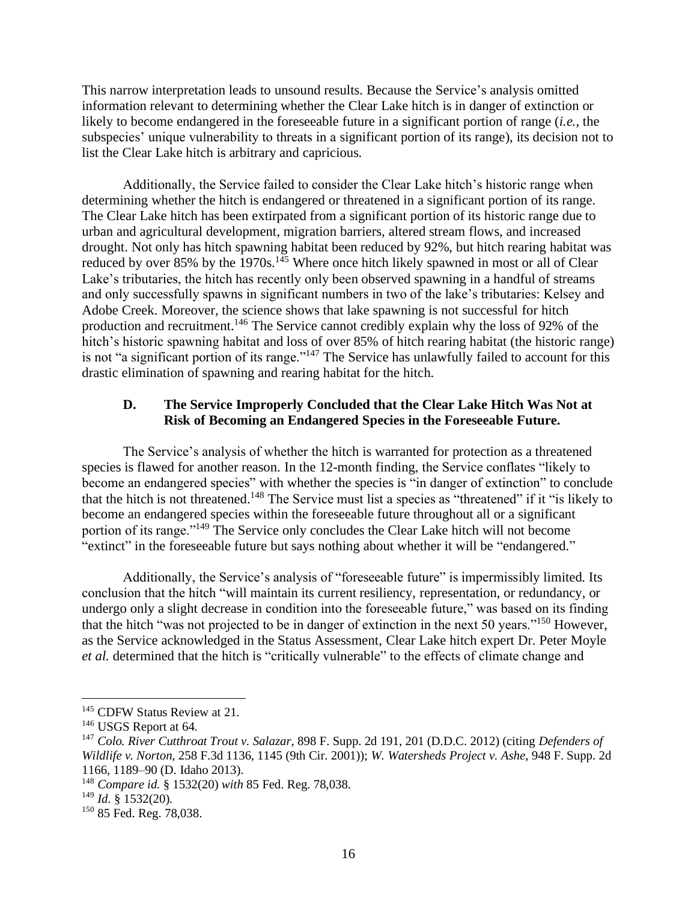This narrow interpretation leads to unsound results. Because the Service's analysis omitted information relevant to determining whether the Clear Lake hitch is in danger of extinction or likely to become endangered in the foreseeable future in a significant portion of range (*i.e.*, the subspecies' unique vulnerability to threats in a significant portion of its range), its decision not to list the Clear Lake hitch is arbitrary and capricious.

Additionally, the Service failed to consider the Clear Lake hitch's historic range when determining whether the hitch is endangered or threatened in a significant portion of its range. The Clear Lake hitch has been extirpated from a significant portion of its historic range due to urban and agricultural development, migration barriers, altered stream flows, and increased drought. Not only has hitch spawning habitat been reduced by 92%, but hitch rearing habitat was reduced by over 85% by the 1970s.<sup>145</sup> Where once hitch likely spawned in most or all of Clear Lake's tributaries, the hitch has recently only been observed spawning in a handful of streams and only successfully spawns in significant numbers in two of the lake's tributaries: Kelsey and Adobe Creek. Moreover, the science shows that lake spawning is not successful for hitch production and recruitment.<sup>146</sup> The Service cannot credibly explain why the loss of 92% of the hitch's historic spawning habitat and loss of over 85% of hitch rearing habitat (the historic range) is not "a significant portion of its range."<sup>147</sup> The Service has unlawfully failed to account for this drastic elimination of spawning and rearing habitat for the hitch.

#### **D. The Service Improperly Concluded that the Clear Lake Hitch Was Not at Risk of Becoming an Endangered Species in the Foreseeable Future.**

The Service's analysis of whether the hitch is warranted for protection as a threatened species is flawed for another reason. In the 12-month finding, the Service conflates "likely to become an endangered species" with whether the species is "in danger of extinction" to conclude that the hitch is not threatened.<sup>148</sup> The Service must list a species as "threatened" if it "is likely to become an endangered species within the foreseeable future throughout all or a significant portion of its range."<sup>149</sup> The Service only concludes the Clear Lake hitch will not become "extinct" in the foreseeable future but says nothing about whether it will be "endangered."

Additionally, the Service's analysis of "foreseeable future" is impermissibly limited. Its conclusion that the hitch "will maintain its current resiliency, representation, or redundancy, or undergo only a slight decrease in condition into the foreseeable future," was based on its finding that the hitch "was not projected to be in danger of extinction in the next 50 years."<sup>150</sup> However, as the Service acknowledged in the Status Assessment, Clear Lake hitch expert Dr. Peter Moyle *et al.* determined that the hitch is "critically vulnerable" to the effects of climate change and

<sup>&</sup>lt;sup>145</sup> CDFW Status Review at 21.

<sup>&</sup>lt;sup>146</sup> USGS Report at 64.

<sup>147</sup> *Colo. River Cutthroat Trout v. Salazar*, 898 F. Supp. 2d 191, 201 (D.D.C. 2012) (citing *Defenders of Wildlife v. Norton*, 258 F.3d 1136, 1145 (9th Cir. 2001)); *W. Watersheds Project v. Ashe*, 948 F. Supp. 2d 1166, 1189–90 (D. Idaho 2013).

<sup>148</sup> *Compare id.* § 1532(20) *with* 85 Fed. Reg. 78,038.

<sup>149</sup> *Id.* § 1532(20).

<sup>&</sup>lt;sup>150</sup> 85 Fed. Reg. 78,038.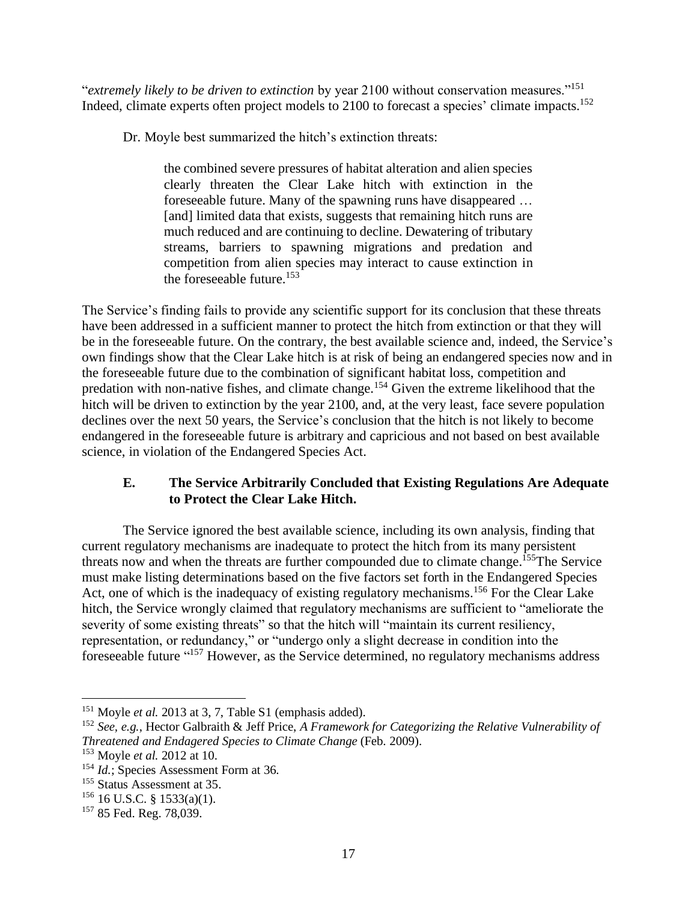"*extremely likely to be driven to extinction* by year 2100 without conservation measures."<sup>151</sup> Indeed, climate experts often project models to 2100 to forecast a species' climate impacts.<sup>152</sup>

Dr. Moyle best summarized the hitch's extinction threats:

the combined severe pressures of habitat alteration and alien species clearly threaten the Clear Lake hitch with extinction in the foreseeable future. Many of the spawning runs have disappeared … [and] limited data that exists, suggests that remaining hitch runs are much reduced and are continuing to decline. Dewatering of tributary streams, barriers to spawning migrations and predation and competition from alien species may interact to cause extinction in the foreseeable future.<sup>153</sup>

The Service's finding fails to provide any scientific support for its conclusion that these threats have been addressed in a sufficient manner to protect the hitch from extinction or that they will be in the foreseeable future. On the contrary, the best available science and, indeed, the Service's own findings show that the Clear Lake hitch is at risk of being an endangered species now and in the foreseeable future due to the combination of significant habitat loss, competition and predation with non-native fishes, and climate change.<sup>154</sup> Given the extreme likelihood that the hitch will be driven to extinction by the year 2100, and, at the very least, face severe population declines over the next 50 years, the Service's conclusion that the hitch is not likely to become endangered in the foreseeable future is arbitrary and capricious and not based on best available science, in violation of the Endangered Species Act.

# **E. The Service Arbitrarily Concluded that Existing Regulations Are Adequate to Protect the Clear Lake Hitch.**

The Service ignored the best available science, including its own analysis, finding that current regulatory mechanisms are inadequate to protect the hitch from its many persistent threats now and when the threats are further compounded due to climate change.<sup>155</sup>The Service must make listing determinations based on the five factors set forth in the Endangered Species Act, one of which is the inadequacy of existing regulatory mechanisms.<sup>156</sup> For the Clear Lake hitch, the Service wrongly claimed that regulatory mechanisms are sufficient to "ameliorate the severity of some existing threats" so that the hitch will "maintain its current resiliency, representation, or redundancy," or "undergo only a slight decrease in condition into the foreseeable future "<sup>157</sup> However, as the Service determined, no regulatory mechanisms address

<sup>&</sup>lt;sup>151</sup> Moyle *et al.* 2013 at 3, 7, Table S1 (emphasis added).

<sup>152</sup> *See, e.g.*, Hector Galbraith & Jeff Price, *A Framework for Categorizing the Relative Vulnerability of Threatened and Endagered Species to Climate Change* (Feb. 2009).

<sup>153</sup> Moyle *et al.* 2012 at 10.

<sup>&</sup>lt;sup>154</sup> *Id.*; Species Assessment Form at 36.

<sup>&</sup>lt;sup>155</sup> Status Assessment at 35.

 $156$  16 U.S.C. § 1533(a)(1).

<sup>&</sup>lt;sup>157</sup> 85 Fed. Reg. 78,039.